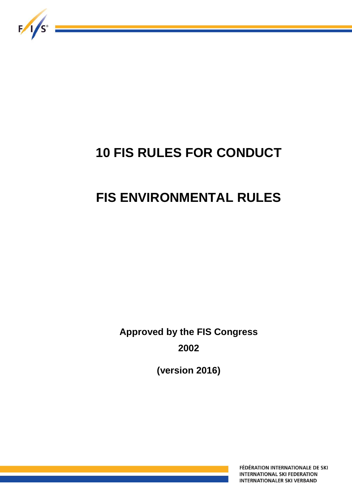

# **10 FIS RULES FOR CONDUCT**

## **FIS ENVIRONMENTAL RULES**

**Approved by the FIS Congress 2002** 

**(version 2016)** 

FÉDÉRATION INTERNATIONALE DE SKI **INTERNATIONAL SKI FEDERATION INTERNATIONALER SKI VERBAND**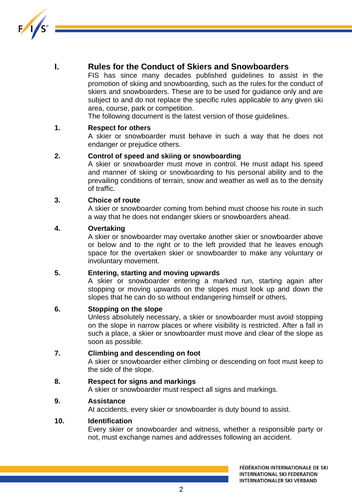

## **I. Rules for the Conduct of Skiers and Snowboarders**

FIS has since many decades published guidelines to assist in the promotion of skiing and snowboarding, such as the rules for the conduct of skiers and snowboarders. These are to be used for guidance only and are subject to and do not replace the specific rules applicable to any given ski area, course, park or competition.

The following document is the latest version of those guidelines.

## **1. Respect for others**

A skier or snowboarder must behave in such a way that he does not endanger or prejudice others.

## **2. Control of speed and skiing or snowboarding**

A skier or snowboarder must move in control. He must adapt his speed and manner of skiing or snowboarding to his personal ability and to the prevailing conditions of terrain, snow and weather as well as to the density of traffic.

## **3. Choice of route**

A skier or snowboarder coming from behind must choose his route in such a way that he does not endanger skiers or snowboarders ahead.

## **4. Overtaking**

A skier or snowboarder may overtake another skier or snowboarder above or below and to the right or to the left provided that he leaves enough space for the overtaken skier or snowboarder to make any voluntary or involuntary movement.

## **5. Entering, starting and moving upwards**

A skier or snowboarder entering a marked run, starting again after stopping or moving upwards on the slopes must look up and down the slopes that he can do so without endangering himself or others.

## **6. Stopping on the slope**

Unless absolutely necessary, a skier or snowboarder must avoid stopping on the slope in narrow places or where visibility is restricted. After a fall in such a place, a skier or snowboarder must move and clear of the slope as soon as possible.

## **7. Climbing and descending on foot**

A skier or snowboarder either climbing or descending on foot must keep to the side of the slope.

## **8. Respect for signs and markings**

A skier or snowboarder must respect all signs and markings.

## **9. Assistance**

At accidents, every skier or snowboarder is duty bound to assist.

## **10. Identification**

Every skier or snowboarder and witness, whether a responsible party or not, must exchange names and addresses following an accident.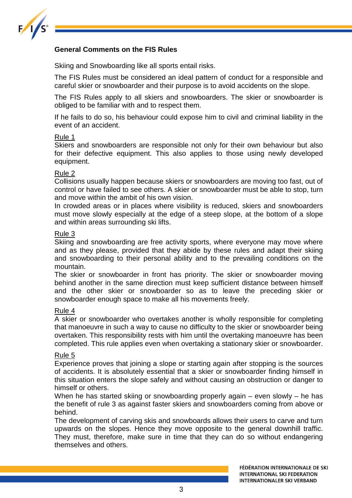

## **General Comments on the FIS Rules**

Skiing and Snowboarding like all sports entail risks.

The FIS Rules must be considered an ideal pattern of conduct for a responsible and careful skier or snowboarder and their purpose is to avoid accidents on the slope.

The FIS Rules apply to all skiers and snowboarders. The skier or snowboarder is obliged to be familiar with and to respect them.

If he fails to do so, his behaviour could expose him to civil and criminal liability in the event of an accident.

#### Rule 1

Skiers and snowboarders are responsible not only for their own behaviour but also for their defective equipment. This also applies to those using newly developed equipment.

#### Rule 2

Collisions usually happen because skiers or snowboarders are moving too fast, out of control or have failed to see others. A skier or snowboarder must be able to stop, turn and move within the ambit of his own vision.

In crowded areas or in places where visibility is reduced, skiers and snowboarders must move slowly especially at the edge of a steep slope, at the bottom of a slope and within areas surrounding ski lifts.

#### Rule 3

Skiing and snowboarding are free activity sports, where everyone may move where and as they please, provided that they abide by these rules and adapt their skiing and snowboarding to their personal ability and to the prevailing conditions on the mountain.

The skier or snowboarder in front has priority. The skier or snowboarder moving behind another in the same direction must keep sufficient distance between himself and the other skier or snowboarder so as to leave the preceding skier or snowboarder enough space to make all his movements freely.

## Rule 4

A skier or snowboarder who overtakes another is wholly responsible for completing that manoeuvre in such a way to cause no difficulty to the skier or snowboarder being overtaken. This responsibility rests with him until the overtaking manoeuvre has been completed. This rule applies even when overtaking a stationary skier or snowboarder.

## Rule 5

Experience proves that joining a slope or starting again after stopping is the sources of accidents. It is absolutely essential that a skier or snowboarder finding himself in this situation enters the slope safely and without causing an obstruction or danger to himself or others.

When he has started skiing or snowboarding properly again – even slowly – he has the benefit of rule 3 as against faster skiers and snowboarders coming from above or behind.

The development of carving skis and snowboards allows their users to carve and turn upwards on the slopes. Hence they move opposite to the general downhill traffic. They must, therefore, make sure in time that they can do so without endangering themselves and others.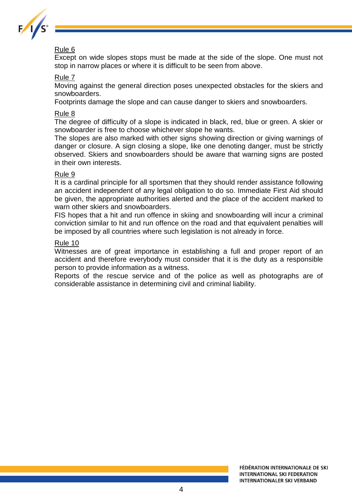

## Rule 6

Except on wide slopes stops must be made at the side of the slope. One must not stop in narrow places or where it is difficult to be seen from above.

## Rule 7

Moving against the general direction poses unexpected obstacles for the skiers and snowboarders.

Footprints damage the slope and can cause danger to skiers and snowboarders.

## Rule 8

The degree of difficulty of a slope is indicated in black, red, blue or green. A skier or snowboarder is free to choose whichever slope he wants.

The slopes are also marked with other signs showing direction or giving warnings of danger or closure. A sign closing a slope, like one denoting danger, must be strictly observed. Skiers and snowboarders should be aware that warning signs are posted in their own interests.

## Rule 9

It is a cardinal principle for all sportsmen that they should render assistance following an accident independent of any legal obligation to do so. Immediate First Aid should be given, the appropriate authorities alerted and the place of the accident marked to warn other skiers and snowboarders.

FIS hopes that a hit and run offence in skiing and snowboarding will incur a criminal conviction similar to hit and run offence on the road and that equivalent penalties will be imposed by all countries where such legislation is not already in force.

## Rule 10

Witnesses are of great importance in establishing a full and proper report of an accident and therefore everybody must consider that it is the duty as a responsible person to provide information as a witness.

Reports of the rescue service and of the police as well as photographs are of considerable assistance in determining civil and criminal liability.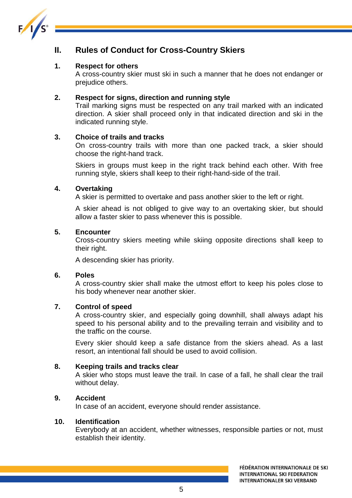

## **II. Rules of Conduct for Cross-Country Skiers**

## **1. Respect for others**

A cross-country skier must ski in such a manner that he does not endanger or prejudice others.

## **2. Respect for signs, direction and running style**

Trail marking signs must be respected on any trail marked with an indicated direction. A skier shall proceed only in that indicated direction and ski in the indicated running style.

## **3. Choice of trails and tracks**

On cross-country trails with more than one packed track, a skier should choose the right-hand track.

Skiers in groups must keep in the right track behind each other. With free running style, skiers shall keep to their right-hand-side of the trail.

## **4. Overtaking**

A skier is permitted to overtake and pass another skier to the left or right.

A skier ahead is not obliged to give way to an overtaking skier, but should allow a faster skier to pass whenever this is possible.

## **5. Encounter**

Cross-country skiers meeting while skiing opposite directions shall keep to their right.

A descending skier has priority.

## **6. Poles**

A cross-country skier shall make the utmost effort to keep his poles close to his body whenever near another skier.

## **7. Control of speed**

A cross-country skier, and especially going downhill, shall always adapt his speed to his personal ability and to the prevailing terrain and visibility and to the traffic on the course.

Every skier should keep a safe distance from the skiers ahead. As a last resort, an intentional fall should be used to avoid collision.

## **8. Keeping trails and tracks clear**

A skier who stops must leave the trail. In case of a fall, he shall clear the trail without delay.

## **9. Accident**

In case of an accident, everyone should render assistance.

## **10. Identification**

Everybody at an accident, whether witnesses, responsible parties or not, must establish their identity.